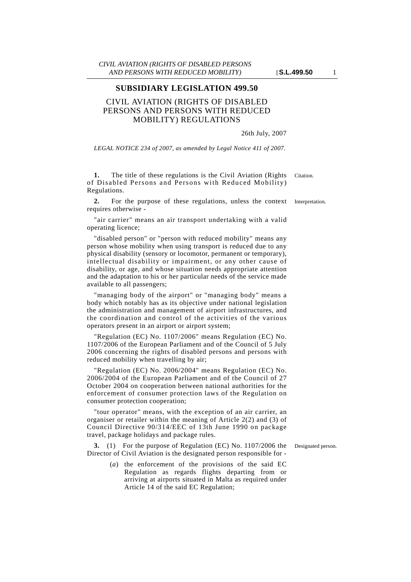## **SUBSIDIARY LEGISLATION 499.50**

## CIVIL AVIATION (RIGHTS OF DISABLED PERSONS AND PERSONS WITH REDUCED MOBILITY) REGULATIONS

26th July, 2007

*LEGAL NOTICE 234 of 2007, as amended by Legal Notice 411 of 2007.*

**1.** The title of these regulations is the Civil Aviation (Rights Citation. of Disabled Persons and Persons with Reduced Mobility) Regulations.

**2.** For the purpose of these regulations, unless the context Interpretation. requires otherwise -

"air carrier" means an air transport undertaking with a valid operating licence;

"disabled person" or "person with reduced mobility" means any person whose mobility when using transport is reduced due to any physical disability (sensory or locomotor, permanent or temporary), intellectual disability or impairment, or any other cause of disability, or age, and whose situation needs appropriate attention and the adaptation to his or her particular needs of the service made available to all passengers;

"managing body of the airport" or "managing body" means a body which notably has as its objective under national legislation the administration and management of airport infrastructures, and the coordination and control of the activities of the various operators present in an airport or airport system;

"Regulation (EC) No. 1107/2006" means Regulation (EC) No. 1107/2006 of the European Parliament and of the Council of 5 July 2006 concerning the rights of disabled persons and persons with reduced mobility when travelling by air;

"Regulation (EC) No. 2006/2004" means Regulation (EC) No. 2006/2004 of the European Parliament and of the Council of 27 October 2004 on cooperation between national authorities for the enforcement of consumer protection laws of the Regulation on consumer protection cooperation;

"tour operator" means, with the exception of an air carrier, an organiser or retailer within the meaning of Article 2(2) and (3) of Council Directive 90/314/EEC of 13th June 1990 on package travel, package holidays and package rules.

Director of Civil Aviation is the designated person responsible for -

**3.** (1) For the purpose of Regulation (EC) No. 1107/2006 the Designated person.

(*a*) the enforcement of the provisions of the said EC Regulation as regards flights departing from or arriving at airports situated in Malta as required under Article 14 of the said EC Regulation;